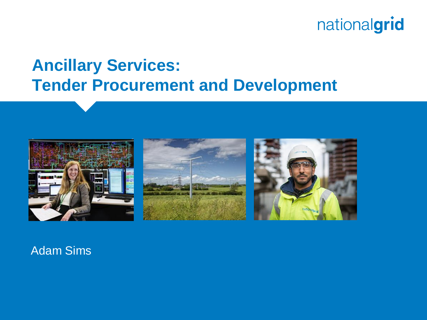## **Ancillary Services: Tender Procurement and Development**







#### Adam Sims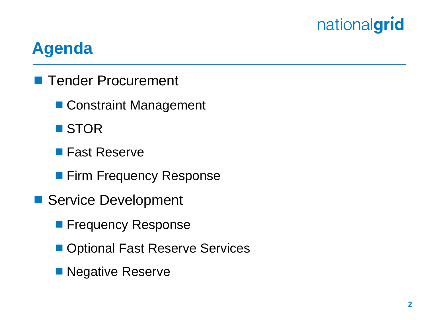## **Agenda**

- **Tender Procurement** 
	- Constraint Management
	- STOR
	- **Fast Reserve**
	- **Firm Frequency Response**
- Service Development
	- **Filte Frequency Response**
	- Optional Fast Reserve Services
	- **Negative Reserve**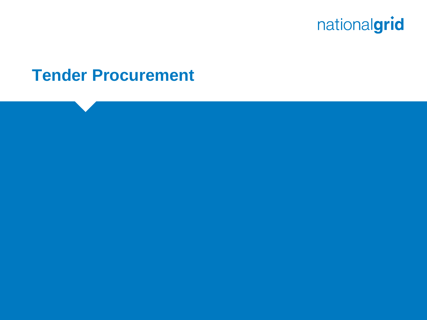

#### **Tender Procurement**

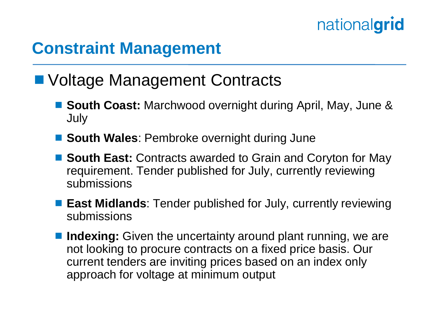#### **Constraint Management**

#### ■ Voltage Management Contracts

- **South Coast:** Marchwood overnight during April, May, June & July
- South Wales: Pembroke overnight during June
- **South East:** Contracts awarded to Grain and Coryton for May requirement. Tender published for July, currently reviewing submissions
- **East Midlands**: Tender published for July, currently reviewing submissions
- **Indexing:** Given the uncertainty around plant running, we are not looking to procure contracts on a fixed price basis. Our current tenders are inviting prices based on an index only approach for voltage at minimum output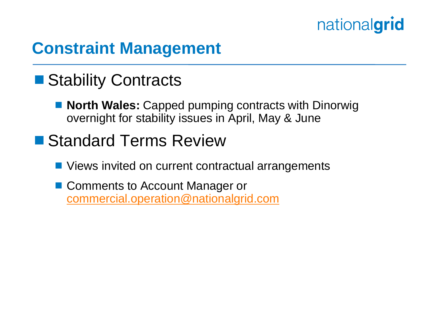#### **Constraint Management**

#### ■ Stability Contracts

- **North Wales: Capped pumping contracts with Dinorwig** overnight for stability issues in April, May & June
- Standard Terms Review
	- Views invited on current contractual arrangements
	- Comments to Account Manager or [commercial.operation@nationalgrid.com](mailto:commercial.operation@nationalgrid.com)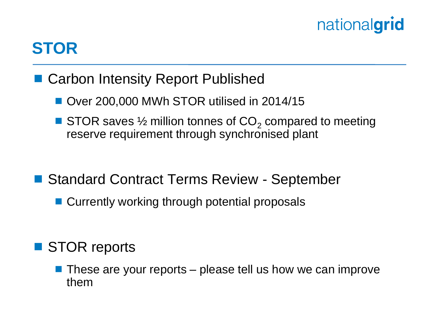### **STOR**

- Carbon Intensity Report Published
	- Over 200,000 MWh STOR utilised in 2014/15
	- STOR saves  $\frac{1}{2}$  million tonnes of  $CO<sub>2</sub>$  compared to meeting reserve requirement through synchronised plant
- Standard Contract Terms Review September
	- Currently working through potential proposals

#### ■ STOR reports

 $\blacksquare$  These are your reports – please tell us how we can improve them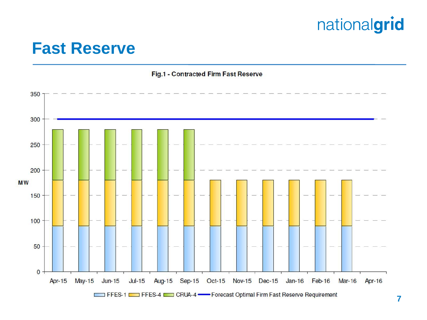#### **Fast Reserve**

Fig.1 - Contracted Firm Fast Reserve

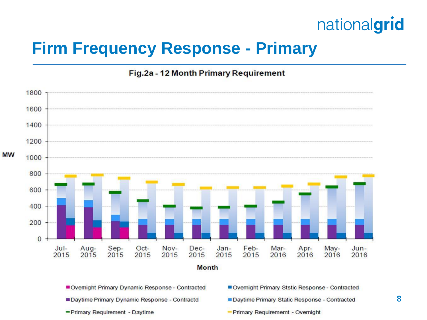#### **Firm Frequency Response - Primary**

#### Fig.2a - 12 Month Primary Requirement



- Daytime Primary Dynamic Response Contractd
- Primary Requirement Daytime
- 
- Daytime Primary Static Response Contracted
- Primary Requirememt Overnight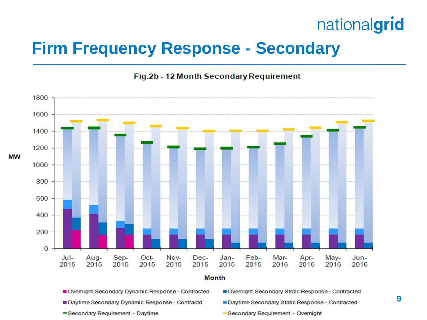#### **Firm Frequency Response - Secondary**



Fig.2b - 12 Month Secondary Requirement

Ovemight Secondary Dynamic Response - Contracted

- Daytime Secondary Dynamic Response Contractd
- Daytime Secondary Static Response Contracted

Overnight Secondary Ststic Response - Contracted

-Secondary Requirement - Daytime

Secondary Requirement - Overnight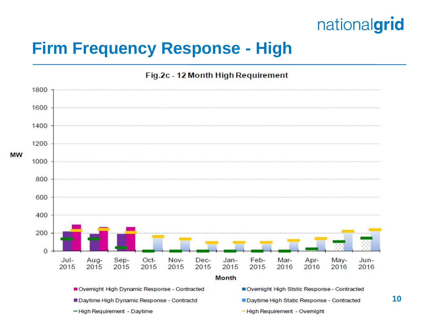#### **Firm Frequency Response - High**

Fig.2c - 12 Month High Requirement

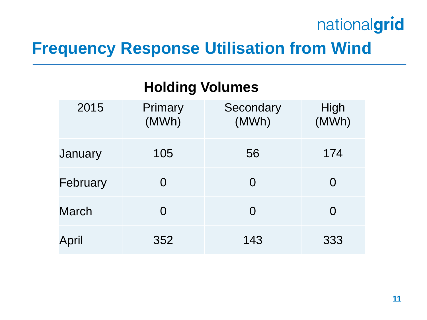#### **Frequency Response Utilisation from Wind**

**Holding Volumes**

| . <u>.</u> . |                  |                    |               |  |  |  |  |
|--------------|------------------|--------------------|---------------|--|--|--|--|
| 2015         | Primary<br>(MWh) | Secondary<br>(MWh) | High<br>(MWh) |  |  |  |  |
| January      | 105              | 56                 | 174           |  |  |  |  |
| February     | 0                | O                  | 0             |  |  |  |  |
| <b>March</b> | O                | O                  | 0             |  |  |  |  |
| April        | 352              | 143                | 333           |  |  |  |  |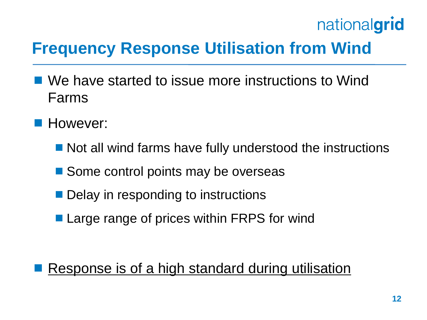# **Frequency Response Utilisation from Wind**

- We have started to issue more instructions to Wind Farms
- **However:** 
	- Not all wind farms have fully understood the instructions
	- Some control points may be overseas
	- **Delay in responding to instructions**
	- Large range of prices within FRPS for wind

#### Response is of a high standard during utilisation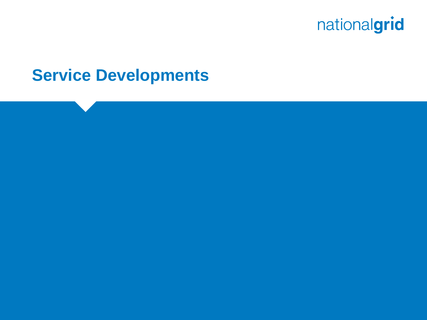

#### **Service Developments**

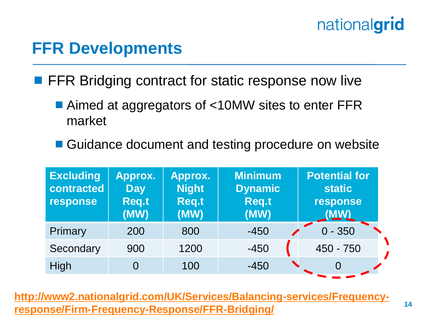#### **FFR Developments**

**FFR Bridging contract for static response now live** 

- Aimed at aggregators of <10MW sites to enter FFR market
- Guidance document and testing procedure on website

| <b>Excluding</b><br>contracted<br>response | Approx.<br><b>Day</b><br><b>Req.t</b><br>(MW) | Approx.<br><b>Night</b><br><b>Req.t</b><br>(MW) | <b>Minimum</b><br><b>Dynamic</b><br><b>Req.t</b><br>(MW) | <b>Potential for</b><br><b>static</b><br>response<br>(MW) |
|--------------------------------------------|-----------------------------------------------|-------------------------------------------------|----------------------------------------------------------|-----------------------------------------------------------|
| Primary                                    | 200                                           | 800                                             | $-450$                                                   | $0 - 350$                                                 |
| Secondary                                  | 900                                           | 1200                                            | $-450$                                                   | 450 - 750                                                 |
| High                                       |                                               | 100                                             | $-450$                                                   |                                                           |

**[http://www2.nationalgrid.com/UK/Services/Balancing-services/Frequency](http://www2.nationalgrid.com/UK/Services/Balancing-services/Frequency-response/Firm-Frequency-Response/FFR-Bridging/)[response/Firm-Frequency-Response/FFR-Bridging/](http://www2.nationalgrid.com/UK/Services/Balancing-services/Frequency-response/Firm-Frequency-Response/FFR-Bridging/)**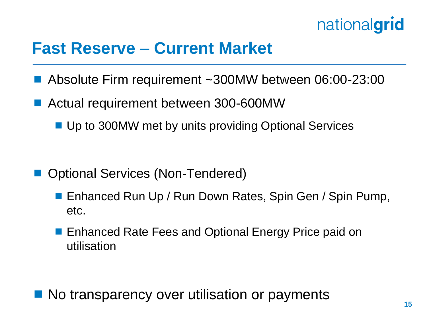

#### **Fast Reserve – Current Market**

- Absolute Firm requirement ~300MW between 06:00-23:00
- Actual requirement between 300-600MW
	- Up to 300MW met by units providing Optional Services

- Optional Services (Non-Tendered)
	- Enhanced Run Up / Run Down Rates, Spin Gen / Spin Pump, etc.
	- Enhanced Rate Fees and Optional Energy Price paid on utilisation

No transparency over utilisation or payments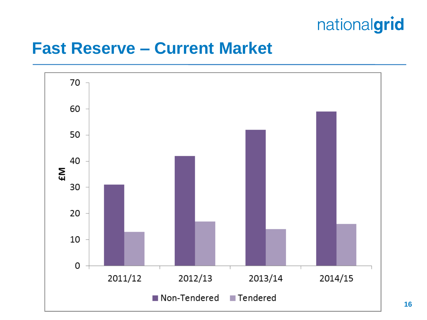#### **Fast Reserve – Current Market**

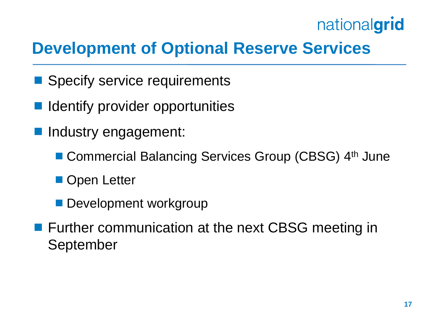# **Development of Optional Reserve Services**

- Specify service requirements
- **If** Identify provider opportunities
- **Industry engagement:** 
	- Commercial Balancing Services Group (CBSG) 4<sup>th</sup> June
	- **Open Letter**
	- **Development workgroup**
- **Further communication at the next CBSG meeting in** September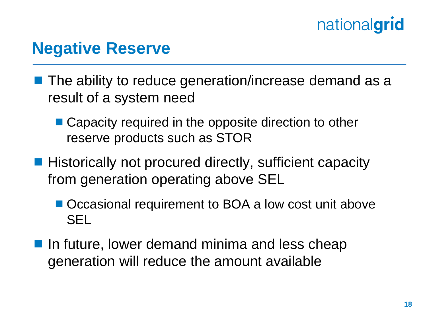#### **Negative Reserve**

- **The ability to reduce generation/increase demand as a** result of a system need
	- Capacity required in the opposite direction to other reserve products such as STOR
- **Historically not procured directly, sufficient capacity** from generation operating above SEL
	- Occasional requirement to BOA a low cost unit above SEL
- $\blacksquare$  In future, lower demand minima and less cheap generation will reduce the amount available